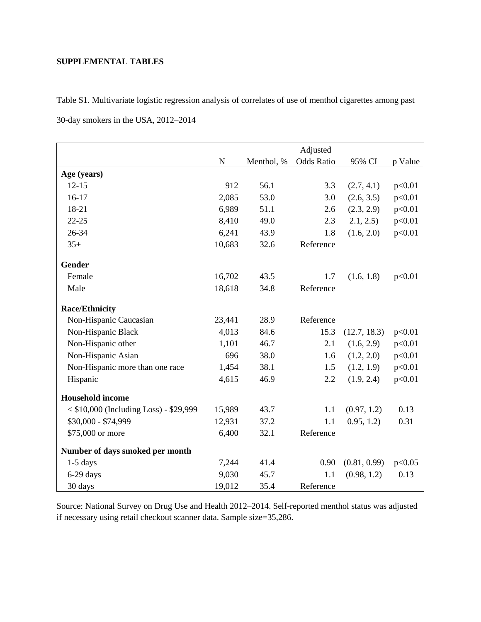## **SUPPLEMENTAL TABLES**

Table S1. Multivariate logistic regression analysis of correlates of use of menthol cigarettes among past

30-day smokers in the USA, 2012–2014

|                                        |           |            | Adjusted   |              |         |
|----------------------------------------|-----------|------------|------------|--------------|---------|
|                                        | ${\bf N}$ | Menthol, % | Odds Ratio | 95% CI       | p Value |
| Age (years)                            |           |            |            |              |         |
| $12 - 15$                              | 912       | 56.1       | 3.3        | (2.7, 4.1)   | p<0.01  |
| $16-17$                                | 2,085     | 53.0       | 3.0        | (2.6, 3.5)   | p<0.01  |
| 18-21                                  | 6,989     | 51.1       | 2.6        | (2.3, 2.9)   | p<0.01  |
| $22 - 25$                              | 8,410     | 49.0       | 2.3        | 2.1, 2.5)    | p<0.01  |
| 26-34                                  | 6,241     | 43.9       | 1.8        | (1.6, 2.0)   | p<0.01  |
| $35+$                                  | 10,683    | 32.6       | Reference  |              |         |
| Gender                                 |           |            |            |              |         |
| Female                                 | 16,702    | 43.5       | 1.7        | (1.6, 1.8)   | p<0.01  |
| Male                                   | 18,618    | 34.8       | Reference  |              |         |
| <b>Race/Ethnicity</b>                  |           |            |            |              |         |
| Non-Hispanic Caucasian                 | 23,441    | 28.9       | Reference  |              |         |
| Non-Hispanic Black                     | 4,013     | 84.6       | 15.3       | (12.7, 18.3) | p<0.01  |
| Non-Hispanic other                     | 1,101     | 46.7       | 2.1        | (1.6, 2.9)   | p<0.01  |
| Non-Hispanic Asian                     | 696       | 38.0       | 1.6        | (1.2, 2.0)   | p<0.01  |
| Non-Hispanic more than one race        | 1,454     | 38.1       | 1.5        | (1.2, 1.9)   | p<0.01  |
| Hispanic                               | 4,615     | 46.9       | 2.2        | (1.9, 2.4)   | p<0.01  |
| <b>Household income</b>                |           |            |            |              |         |
| < \$10,000 (Including Loss) - \$29,999 | 15,989    | 43.7       | 1.1        | (0.97, 1.2)  | 0.13    |
| \$30,000 - \$74,999                    | 12,931    | 37.2       | 1.1        | 0.95, 1.2)   | 0.31    |
| \$75,000 or more                       | 6,400     | 32.1       | Reference  |              |         |
| Number of days smoked per month        |           |            |            |              |         |
| $1-5$ days                             | 7,244     | 41.4       | 0.90       | (0.81, 0.99) | p<0.05  |
| 6-29 days                              | 9,030     | 45.7       | 1.1        | (0.98, 1.2)  | 0.13    |
| 30 days                                | 19,012    | 35.4       | Reference  |              |         |

Source: National Survey on Drug Use and Health 2012–2014. Self-reported menthol status was adjusted if necessary using retail checkout scanner data. Sample size=35,286.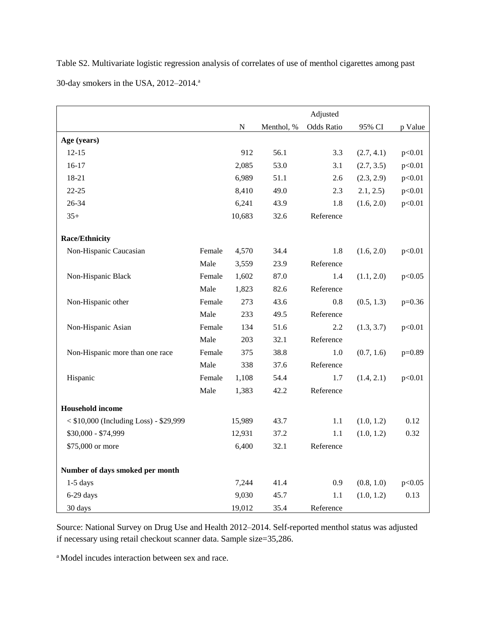Table S2. Multivariate logistic regression analysis of correlates of use of menthol cigarettes among past 30-day smokers in the USA, 2012-2014.<sup>a</sup>

|                                       |        |           |            | Adjusted          |            |          |
|---------------------------------------|--------|-----------|------------|-------------------|------------|----------|
|                                       |        | ${\bf N}$ | Menthol, % | <b>Odds Ratio</b> | 95% CI     | p Value  |
| Age (years)                           |        |           |            |                   |            |          |
| $12 - 15$                             |        | 912       | 56.1       | 3.3               | (2.7, 4.1) | p<0.01   |
| $16-17$                               |        | 2,085     | 53.0       | 3.1               | (2.7, 3.5) | p<0.01   |
| 18-21                                 |        | 6,989     | 51.1       | 2.6               | (2.3, 2.9) | p<0.01   |
| $22 - 25$                             |        | 8,410     | 49.0       | 2.3               | 2.1, 2.5)  | p<0.01   |
| 26-34                                 |        | 6,241     | 43.9       | 1.8               | (1.6, 2.0) | p<0.01   |
| $35+$                                 |        | 10,683    | 32.6       | Reference         |            |          |
| <b>Race/Ethnicity</b>                 |        |           |            |                   |            |          |
| Non-Hispanic Caucasian                | Female | 4,570     | 34.4       | 1.8               | (1.6, 2.0) | p<0.01   |
|                                       | Male   | 3,559     | 23.9       | Reference         |            |          |
| Non-Hispanic Black                    | Female | 1,602     | 87.0       | 1.4               | (1.1, 2.0) | p<0.05   |
|                                       | Male   | 1,823     | 82.6       | Reference         |            |          |
| Non-Hispanic other                    | Female | 273       | 43.6       | 0.8               | (0.5, 1.3) | $p=0.36$ |
|                                       | Male   | 233       | 49.5       | Reference         |            |          |
| Non-Hispanic Asian                    | Female | 134       | 51.6       | 2.2               | (1.3, 3.7) | p<0.01   |
|                                       | Male   | 203       | 32.1       | Reference         |            |          |
| Non-Hispanic more than one race       | Female | 375       | 38.8       | 1.0               | (0.7, 1.6) | $p=0.89$ |
|                                       | Male   | 338       | 37.6       | Reference         |            |          |
| Hispanic                              | Female | 1,108     | 54.4       | 1.7               | (1.4, 2.1) | p<0.01   |
|                                       | Male   | 1,383     | 42.2       | Reference         |            |          |
| <b>Household</b> income               |        |           |            |                   |            |          |
| <\$10,000 (Including Loss) - \$29,999 |        | 15,989    | 43.7       | 1.1               | (1.0, 1.2) | 0.12     |
| \$30,000 - \$74,999                   |        | 12,931    | 37.2       | 1.1               | (1.0, 1.2) | 0.32     |
| \$75,000 or more                      |        | 6,400     | 32.1       | Reference         |            |          |
| Number of days smoked per month       |        |           |            |                   |            |          |
| $1-5$ days                            |        | 7,244     | 41.4       | 0.9               | (0.8, 1.0) | p<0.05   |
| 6-29 days                             |        | 9,030     | 45.7       | 1.1               | (1.0, 1.2) | 0.13     |
| 30 days                               |        | 19,012    | 35.4       | Reference         |            |          |

Source: National Survey on Drug Use and Health 2012–2014. Self-reported menthol status was adjusted if necessary using retail checkout scanner data. Sample size=35,286.

<sup>a</sup> Model incudes interaction between sex and race.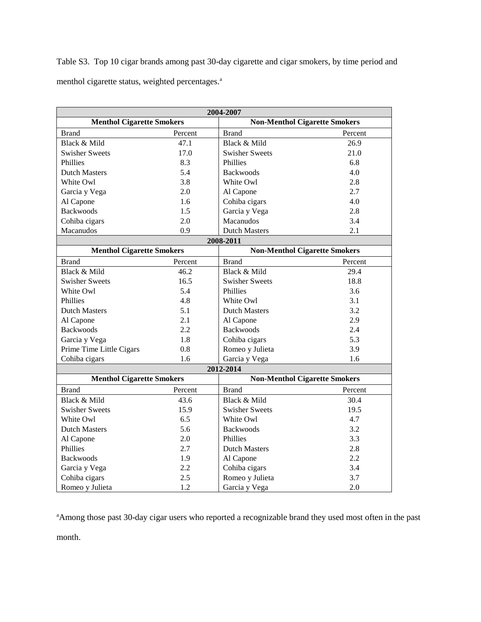Table S3. Top 10 cigar brands among past 30-day cigarette and cigar smokers, by time period and menthol cigarette status, weighted percentages.<sup>a</sup>

| 2004-2007                        |         |                       |                                      |  |  |
|----------------------------------|---------|-----------------------|--------------------------------------|--|--|
| <b>Menthol Cigarette Smokers</b> |         |                       | <b>Non-Menthol Cigarette Smokers</b> |  |  |
| <b>Brand</b>                     | Percent | <b>Brand</b>          | Percent                              |  |  |
| Black & Mild                     | 47.1    | Black & Mild          | 26.9                                 |  |  |
| <b>Swisher Sweets</b>            | 17.0    | <b>Swisher Sweets</b> | 21.0                                 |  |  |
| Phillies                         | 8.3     | Phillies              | 6.8                                  |  |  |
| <b>Dutch Masters</b>             | 5.4     | <b>Backwoods</b>      | 4.0                                  |  |  |
| White Owl                        | 3.8     | White Owl             | 2.8                                  |  |  |
| Garcia y Vega                    | 2.0     | Al Capone             | 2.7                                  |  |  |
| Al Capone                        | 1.6     | Cohiba cigars         | 4.0                                  |  |  |
| <b>Backwoods</b>                 | 1.5     | Garcia y Vega         | 2.8                                  |  |  |
| Cohiba cigars                    | 2.0     | Macanudos             | 3.4                                  |  |  |
| Macanudos                        | 0.9     | <b>Dutch Masters</b>  | 2.1                                  |  |  |
|                                  |         | 2008-2011             |                                      |  |  |
| <b>Menthol Cigarette Smokers</b> |         |                       | <b>Non-Menthol Cigarette Smokers</b> |  |  |
| <b>Brand</b>                     | Percent | <b>Brand</b>          | Percent                              |  |  |
| Black & Mild                     | 46.2    | Black & Mild          | 29.4                                 |  |  |
| <b>Swisher Sweets</b>            | 16.5    | <b>Swisher Sweets</b> | 18.8                                 |  |  |
| White Owl                        | 5.4     | Phillies              | 3.6                                  |  |  |
| Phillies                         | 4.8     | White Owl             | 3.1                                  |  |  |
| <b>Dutch Masters</b>             | 5.1     | <b>Dutch Masters</b>  | 3.2                                  |  |  |
| Al Capone                        | 2.1     | Al Capone             | 2.9                                  |  |  |
| <b>Backwoods</b>                 | 2.2     | <b>Backwoods</b>      | 2.4                                  |  |  |
| Garcia y Vega                    | 1.8     | Cohiba cigars         | 5.3                                  |  |  |
| Prime Time Little Cigars         | 0.8     | Romeo y Julieta       | 3.9                                  |  |  |
| Cohiba cigars                    | 1.6     | Garcia y Vega         | 1.6                                  |  |  |
|                                  |         | 2012-2014             |                                      |  |  |
| <b>Menthol Cigarette Smokers</b> |         |                       | <b>Non-Menthol Cigarette Smokers</b> |  |  |
| <b>Brand</b>                     | Percent | <b>Brand</b>          | Percent                              |  |  |
| Black & Mild                     | 43.6    | Black & Mild          | 30.4                                 |  |  |
| <b>Swisher Sweets</b>            | 15.9    | <b>Swisher Sweets</b> | 19.5                                 |  |  |
| White Owl                        | 6.5     | White Owl             | 4.7                                  |  |  |
| <b>Dutch Masters</b>             | 5.6     | <b>Backwoods</b>      | 3.2                                  |  |  |
| Al Capone                        | 2.0     | Phillies              | 3.3                                  |  |  |
| Phillies                         | 2.7     | <b>Dutch Masters</b>  | 2.8                                  |  |  |
| <b>Backwoods</b>                 | 1.9     | Al Capone             | 2.2                                  |  |  |
| Garcia y Vega                    | 2.2     | Cohiba cigars         | 3.4                                  |  |  |
| Cohiba cigars                    | 2.5     | Romeo y Julieta       | 3.7                                  |  |  |
| Romeo y Julieta                  | 1.2     | Garcia y Vega         | 2.0                                  |  |  |

<sup>a</sup>Among those past 30-day cigar users who reported a recognizable brand they used most often in the past

month.